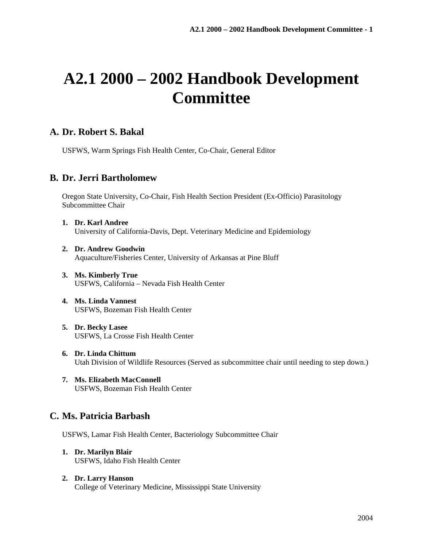# **A2.1 2000 – 2002 Handbook Development Committee**

## **A. Dr. Robert S. Bakal**

USFWS, Warm Springs Fish Health Center, Co-Chair, General Editor

### **B. Dr. Jerri Bartholomew**

Oregon State University, Co-Chair, Fish Health Section President (Ex-Officio) Parasitology Subcommittee Chair

- **1. Dr. Karl Andree**  University of California-Davis, Dept. Veterinary Medicine and Epidemiology
- **2. Dr. Andrew Goodwin**  Aquaculture/Fisheries Center, University of Arkansas at Pine Bluff
- **3. Ms. Kimberly True**  USFWS, California – Nevada Fish Health Center
- **4. Ms. Linda Vannest**  USFWS, Bozeman Fish Health Center
- **5. Dr. Becky Lasee**  USFWS, La Crosse Fish Health Center
- **6. Dr. Linda Chittum**  Utah Division of Wildlife Resources (Served as subcommittee chair until needing to step down.)
- **7. Ms. Elizabeth MacConnell**  USFWS, Bozeman Fish Health Center

# **C. Ms. Patricia Barbash**

USFWS, Lamar Fish Health Center, Bacteriology Subcommittee Chair

- **1. Dr. Marilyn Blair**  USFWS, Idaho Fish Health Center
- **2. Dr. Larry Hanson**  College of Veterinary Medicine, Mississippi State University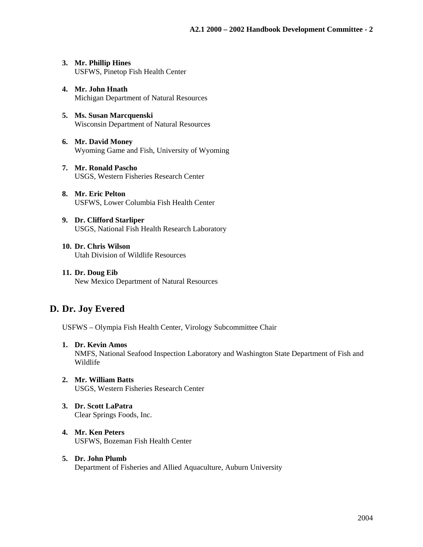- **3. Mr. Phillip Hines**  USFWS, Pinetop Fish Health Center
- **4. Mr. John Hnath**  Michigan Department of Natural Resources
- **5. Ms. Susan Marcquenski** Wisconsin Department of Natural Resources
- **6. Mr. David Money**  Wyoming Game and Fish, University of Wyoming
- **7. Mr. Ronald Pascho**  USGS, Western Fisheries Research Center
- **8. Mr. Eric Pelton**  USFWS, Lower Columbia Fish Health Center
- **9. Dr. Clifford Starliper**  USGS, National Fish Health Research Laboratory
- **10. Dr. Chris Wilson**  Utah Division of Wildlife Resources
- **11. Dr. Doug Eib**  New Mexico Department of Natural Resources

# **D. Dr. Joy Evered**

USFWS – Olympia Fish Health Center, Virology Subcommittee Chair

**1. Dr. Kevin Amos** 

NMFS, National Seafood Inspection Laboratory and Washington State Department of Fish and Wildlife

- **2. Mr. William Batts**  USGS, Western Fisheries Research Center
- **3. Dr. Scott LaPatra**  Clear Springs Foods, Inc.
- **4. Mr. Ken Peters**  USFWS, Bozeman Fish Health Center
- **5. Dr. John Plumb**  Department of Fisheries and Allied Aquaculture, Auburn University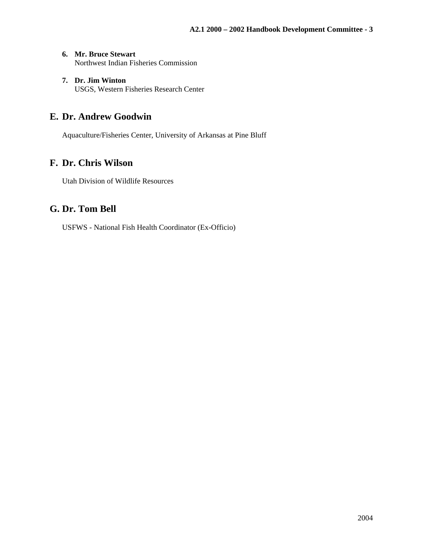- **6. Mr. Bruce Stewart**  Northwest Indian Fisheries Commission
- **7. Dr. Jim Winton**  USGS, Western Fisheries Research Center

# **E. Dr. Andrew Goodwin**

Aquaculture/Fisheries Center, University of Arkansas at Pine Bluff

# **F. Dr. Chris Wilson**

Utah Division of Wildlife Resources

# **G. Dr. Tom Bell**

USFWS - National Fish Health Coordinator (Ex-Officio)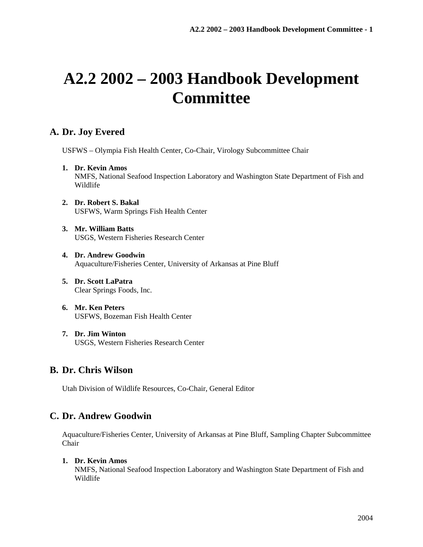# **A2.2 2002 – 2003 Handbook Development Committee**

# **A. Dr. Joy Evered**

USFWS – Olympia Fish Health Center, Co-Chair, Virology Subcommittee Chair

- **1. Dr. Kevin Amos**  NMFS, National Seafood Inspection Laboratory and Washington State Department of Fish and Wildlife
- **2. Dr. Robert S. Bakal**  USFWS, Warm Springs Fish Health Center
- **3. Mr. William Batts**  USGS, Western Fisheries Research Center
- **4. Dr. Andrew Goodwin**  Aquaculture/Fisheries Center, University of Arkansas at Pine Bluff
- **5. Dr. Scott LaPatra**  Clear Springs Foods, Inc.
- **6. Mr. Ken Peters**  USFWS, Bozeman Fish Health Center
- **7. Dr. Jim Winton**  USGS, Western Fisheries Research Center

# **B. Dr. Chris Wilson**

Utah Division of Wildlife Resources, Co-Chair, General Editor

# **C. Dr. Andrew Goodwin**

Aquaculture/Fisheries Center, University of Arkansas at Pine Bluff, Sampling Chapter Subcommittee Chair

#### **1. Dr. Kevin Amos**

NMFS, National Seafood Inspection Laboratory and Washington State Department of Fish and Wildlife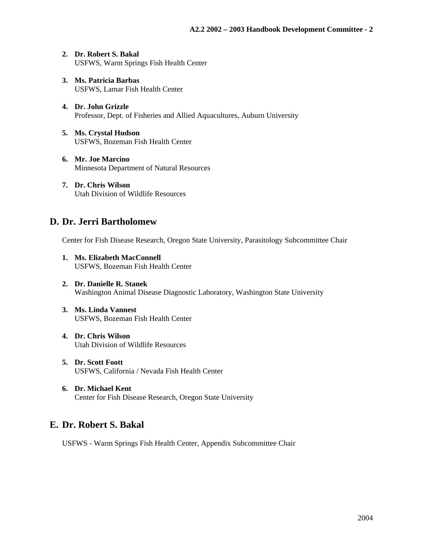- **2. Dr. Robert S. Bakal**  USFWS, Warm Springs Fish Health Center
- **3. Ms. Patricia Barbas**  USFWS, Lamar Fish Health Center
- **4. Dr. John Grizzle**  Professor, Dept. of Fisheries and Allied Aquacultures, Auburn University
- **5. Ms. Crystal Hudson**  USFWS, Bozeman Fish Health Center
- **6. Mr. Joe Marcino**  Minnesota Department of Natural Resources
- **7. Dr. Chris Wilson**  Utah Division of Wildlife Resources

#### **D. Dr. Jerri Bartholomew**

Center for Fish Disease Research, Oregon State University, Parasitology Subcommittee Chair

- **1. Ms. Elizabeth MacConnell**  USFWS, Bozeman Fish Health Center
- **2. Dr. Danielle R. Stanek**  Washington Animal Disease Diagnostic Laboratory, Washington State University
- **3. Ms. Linda Vannest**  USFWS, Bozeman Fish Health Center
- **4. Dr. Chris Wilson**  Utah Division of Wildlife Resources
- **5. Dr. Scott Foott**  USFWS, California / Nevada Fish Health Center
- **6. Dr. Michael Kent**  Center for Fish Disease Research, Oregon State University

# **E. Dr. Robert S. Bakal**

USFWS - Warm Springs Fish Health Center, Appendix Subcommittee Chair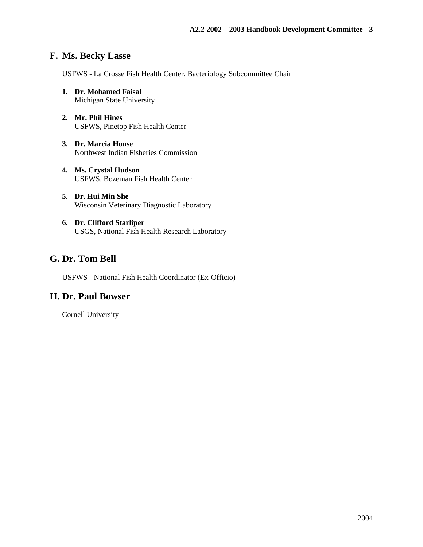## **F. Ms. Becky Lasse**

USFWS - La Crosse Fish Health Center, Bacteriology Subcommittee Chair

- **1. Dr. Mohamed Faisal**  Michigan State University
- **2. Mr. Phil Hines**  USFWS, Pinetop Fish Health Center
- **3. Dr. Marcia House**  Northwest Indian Fisheries Commission
- **4. Ms. Crystal Hudson**  USFWS, Bozeman Fish Health Center
- **5. Dr. Hui Min She**  Wisconsin Veterinary Diagnostic Laboratory
- **6. Dr. Clifford Starliper**  USGS, National Fish Health Research Laboratory

# **G. Dr. Tom Bell**

USFWS - National Fish Health Coordinator (Ex-Officio)

#### **H. Dr. Paul Bowser**

Cornell University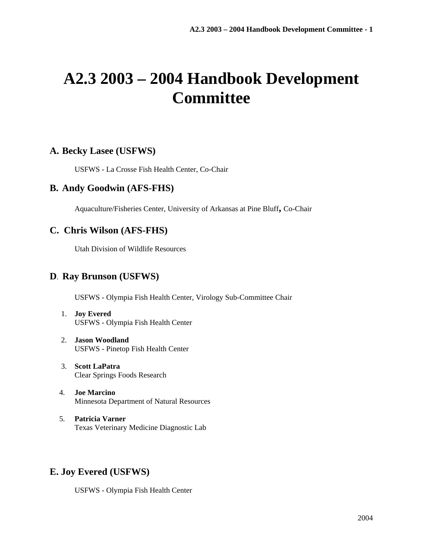# **A2.3 2003 – 2004 Handbook Development Committee**

#### **A. Becky Lasee (USFWS)**

USFWS - La Crosse Fish Health Center, Co-Chair

#### **B. Andy Goodwin (AFS-FHS)**

Aquaculture/Fisheries Center, University of Arkansas at Pine Bluff**,** Co-Chair

### **C. Chris Wilson (AFS-FHS)**

Utah Division of Wildlife Resources

#### **D**. **Ray Brunson (USFWS)**

USFWS - Olympia Fish Health Center, Virology Sub-Committee Chair

- 1. **Joy Evered** USFWS - Olympia Fish Health Center
- 2. **Jason Woodland** USFWS - Pinetop Fish Health Center
- 3. **Scott LaPatra** Clear Springs Foods Research
- 4. **Joe Marcino** Minnesota Department of Natural Resources
- 5. **Patricia Varner** Texas Veterinary Medicine Diagnostic Lab

# **E. Joy Evered (USFWS)**

USFWS - Olympia Fish Health Center